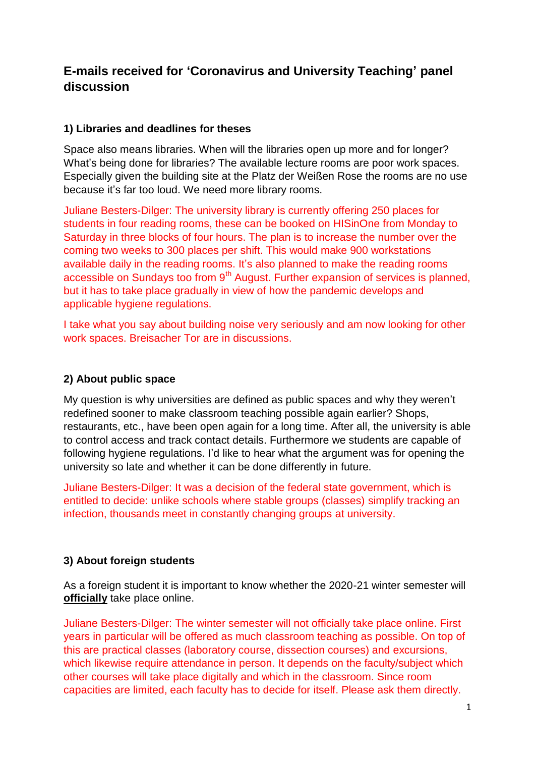# **E-mails received for 'Coronavirus and University Teaching' panel discussion**

# **1) Libraries and deadlines for theses**

Space also means libraries. When will the libraries open up more and for longer? What's being done for libraries? The available lecture rooms are poor work spaces. Especially given the building site at the Platz der Weißen Rose the rooms are no use because it's far too loud. We need more library rooms.

Juliane Besters-Dilger: The university library is currently offering 250 places for students in four reading rooms, these can be booked on HISinOne from Monday to Saturday in three blocks of four hours. The plan is to increase the number over the coming two weeks to 300 places per shift. This would make 900 workstations available daily in the reading rooms. It's also planned to make the reading rooms accessible on Sundays too from  $9<sup>th</sup>$  August. Further expansion of services is planned, but it has to take place gradually in view of how the pandemic develops and applicable hygiene regulations.

I take what you say about building noise very seriously and am now looking for other work spaces. Breisacher Tor are in discussions.

# **2) About public space**

My question is why universities are defined as public spaces and why they weren't redefined sooner to make classroom teaching possible again earlier? Shops, restaurants, etc., have been open again for a long time. After all, the university is able to control access and track contact details. Furthermore we students are capable of following hygiene regulations. I'd like to hear what the argument was for opening the university so late and whether it can be done differently in future.

Juliane Besters-Dilger: It was a decision of the federal state government, which is entitled to decide: unlike schools where stable groups (classes) simplify tracking an infection, thousands meet in constantly changing groups at university.

# **3) About foreign students**

As a foreign student it is important to know whether the 2020-21 winter semester will **officially** take place online.

Juliane Besters-Dilger: The winter semester will not officially take place online. First years in particular will be offered as much classroom teaching as possible. On top of this are practical classes (laboratory course, dissection courses) and excursions, which likewise require attendance in person. It depends on the faculty/subject which other courses will take place digitally and which in the classroom. Since room capacities are limited, each faculty has to decide for itself. Please ask them directly.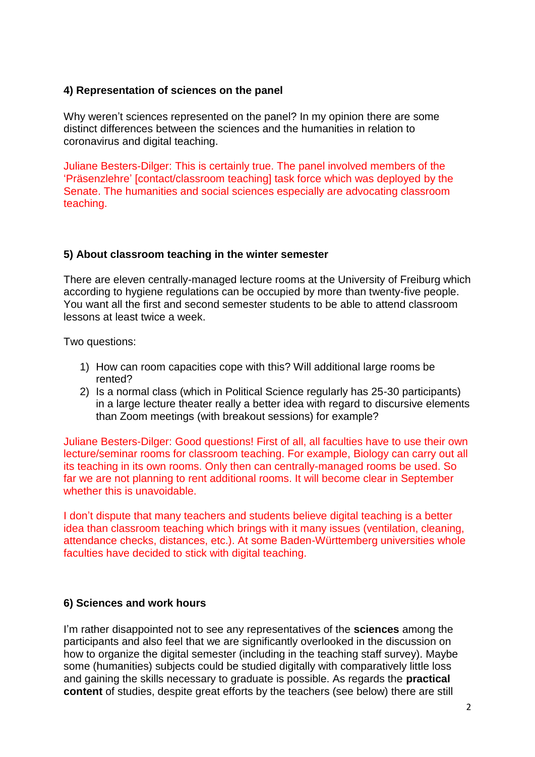# **4) Representation of sciences on the panel**

Why weren't sciences represented on the panel? In my opinion there are some distinct differences between the sciences and the humanities in relation to coronavirus and digital teaching.

Juliane Besters-Dilger: This is certainly true. The panel involved members of the 'Präsenzlehre' [contact/classroom teaching] task force which was deployed by the Senate. The humanities and social sciences especially are advocating classroom teaching.

## **5) About classroom teaching in the winter semester**

There are eleven centrally-managed lecture rooms at the University of Freiburg which according to hygiene regulations can be occupied by more than twenty-five people. You want all the first and second semester students to be able to attend classroom lessons at least twice a week.

Two questions:

- 1) How can room capacities cope with this? Will additional large rooms be rented?
- 2) Is a normal class (which in Political Science regularly has 25-30 participants) in a large lecture theater really a better idea with regard to discursive elements than Zoom meetings (with breakout sessions) for example?

Juliane Besters-Dilger: Good questions! First of all, all faculties have to use their own lecture/seminar rooms for classroom teaching. For example, Biology can carry out all its teaching in its own rooms. Only then can centrally-managed rooms be used. So far we are not planning to rent additional rooms. It will become clear in September whether this is unavoidable.

I don't dispute that many teachers and students believe digital teaching is a better idea than classroom teaching which brings with it many issues (ventilation, cleaning, attendance checks, distances, etc.). At some Baden-Württemberg universities whole faculties have decided to stick with digital teaching.

## **6) Sciences and work hours**

I'm rather disappointed not to see any representatives of the **sciences** among the participants and also feel that we are significantly overlooked in the discussion on how to organize the digital semester (including in the teaching staff survey). Maybe some (humanities) subjects could be studied digitally with comparatively little loss and gaining the skills necessary to graduate is possible. As regards the **practical content** of studies, despite great efforts by the teachers (see below) there are still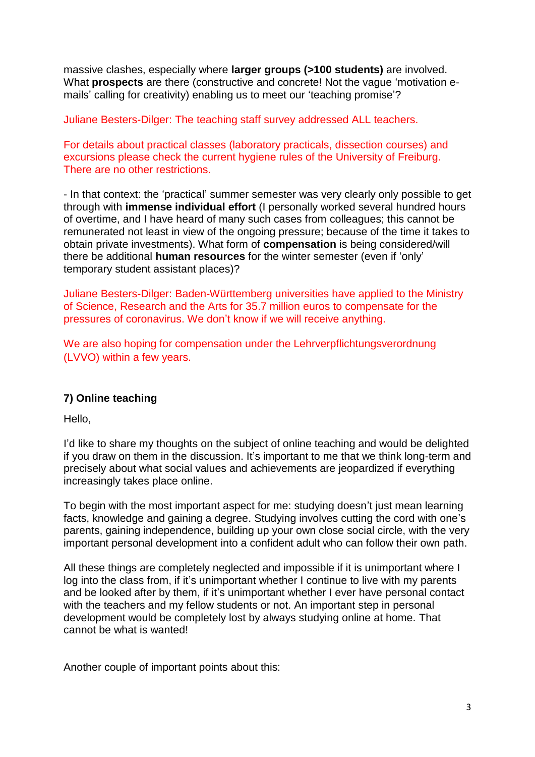massive clashes, especially where **larger groups (>100 students)** are involved. What **prospects** are there (constructive and concrete! Not the vague 'motivation emails' calling for creativity) enabling us to meet our 'teaching promise'?

Juliane Besters-Dilger: The teaching staff survey addressed ALL teachers.

For details about practical classes (laboratory practicals, dissection courses) and excursions please check the current hygiene rules of the University of Freiburg. There are no other restrictions.

- In that context: the 'practical' summer semester was very clearly only possible to get through with **immense individual effort** (I personally worked several hundred hours of overtime, and I have heard of many such cases from colleagues; this cannot be remunerated not least in view of the ongoing pressure; because of the time it takes to obtain private investments). What form of **compensation** is being considered/will there be additional **human resources** for the winter semester (even if 'only' temporary student assistant places)?

Juliane Besters-Dilger: Baden-Württemberg universities have applied to the Ministry of Science, Research and the Arts for 35.7 million euros to compensate for the pressures of coronavirus. We don't know if we will receive anything.

We are also hoping for compensation under the Lehrverpflichtungsverordnung (LVVO) within a few years.

# **7) Online teaching**

Hello,

I'd like to share my thoughts on the subject of online teaching and would be delighted if you draw on them in the discussion. It's important to me that we think long-term and precisely about what social values and achievements are jeopardized if everything increasingly takes place online.

To begin with the most important aspect for me: studying doesn't just mean learning facts, knowledge and gaining a degree. Studying involves cutting the cord with one's parents, gaining independence, building up your own close social circle, with the very important personal development into a confident adult who can follow their own path.

All these things are completely neglected and impossible if it is unimportant where I log into the class from, if it's unimportant whether I continue to live with my parents and be looked after by them, if it's unimportant whether I ever have personal contact with the teachers and my fellow students or not. An important step in personal development would be completely lost by always studying online at home. That cannot be what is wanted!

Another couple of important points about this: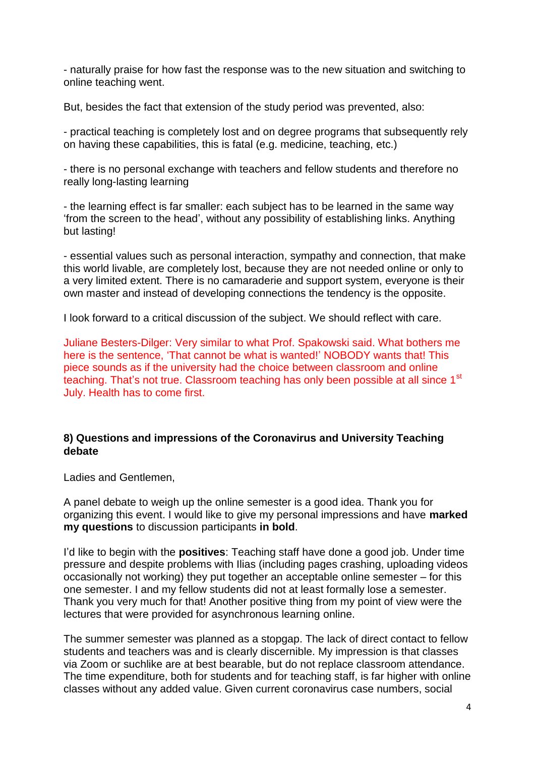- naturally praise for how fast the response was to the new situation and switching to online teaching went.

But, besides the fact that extension of the study period was prevented, also:

- practical teaching is completely lost and on degree programs that subsequently rely on having these capabilities, this is fatal (e.g. medicine, teaching, etc.)

- there is no personal exchange with teachers and fellow students and therefore no really long-lasting learning

- the learning effect is far smaller: each subject has to be learned in the same way 'from the screen to the head', without any possibility of establishing links. Anything but lasting!

- essential values such as personal interaction, sympathy and connection, that make this world livable, are completely lost, because they are not needed online or only to a very limited extent. There is no camaraderie and support system, everyone is their own master and instead of developing connections the tendency is the opposite.

I look forward to a critical discussion of the subject. We should reflect with care.

Juliane Besters-Dilger: Very similar to what Prof. Spakowski said. What bothers me here is the sentence, 'That cannot be what is wanted!' NOBODY wants that! This piece sounds as if the university had the choice between classroom and online teaching. That's not true. Classroom teaching has only been possible at all since 1<sup>st</sup> July. Health has to come first.

## **8) Questions and impressions of the Coronavirus and University Teaching debate**

Ladies and Gentlemen,

A panel debate to weigh up the online semester is a good idea. Thank you for organizing this event. I would like to give my personal impressions and have **marked my questions** to discussion participants **in bold**.

I'd like to begin with the **positives**: Teaching staff have done a good job. Under time pressure and despite problems with Ilias (including pages crashing, uploading videos occasionally not working) they put together an acceptable online semester – for this one semester. I and my fellow students did not at least formally lose a semester. Thank you very much for that! Another positive thing from my point of view were the lectures that were provided for asynchronous learning online.

The summer semester was planned as a stopgap. The lack of direct contact to fellow students and teachers was and is clearly discernible. My impression is that classes via Zoom or suchlike are at best bearable, but do not replace classroom attendance. The time expenditure, both for students and for teaching staff, is far higher with online classes without any added value. Given current coronavirus case numbers, social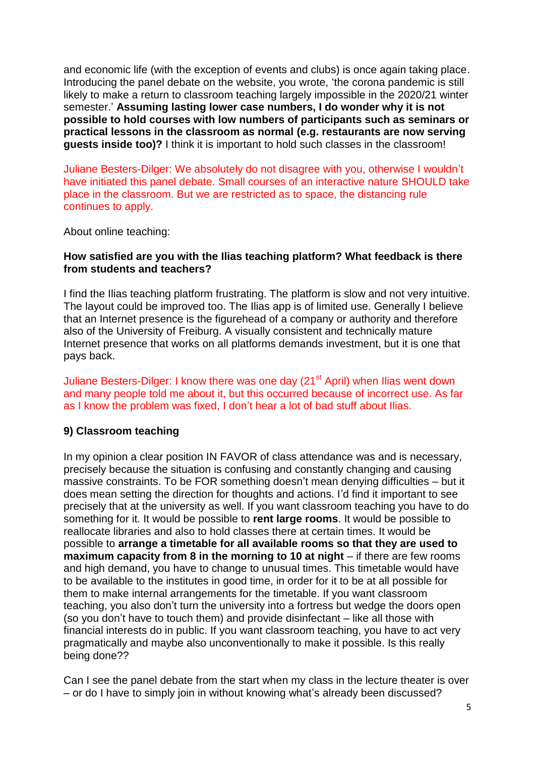and economic life (with the exception of events and clubs) is once again taking place. Introducing the panel debate on the website, you wrote, 'the corona pandemic is still likely to make a return to classroom teaching largely impossible in the 2020/21 winter semester.' **Assuming lasting lower case numbers, I do wonder why it is not possible to hold courses with low numbers of participants such as seminars or practical lessons in the classroom as normal (e.g. restaurants are now serving guests inside too)?** I think it is important to hold such classes in the classroom!

Juliane Besters-Dilger: We absolutely do not disagree with you, otherwise I wouldn't have initiated this panel debate. Small courses of an interactive nature SHOULD take place in the classroom. But we are restricted as to space, the distancing rule continues to apply.

About online teaching:

## **How satisfied are you with the Ilias teaching platform? What feedback is there from students and teachers?**

I find the Ilias teaching platform frustrating. The platform is slow and not very intuitive. The layout could be improved too. The Ilias app is of limited use. Generally I believe that an Internet presence is the figurehead of a company or authority and therefore also of the University of Freiburg. A visually consistent and technically mature Internet presence that works on all platforms demands investment, but it is one that pays back.

Juliane Besters-Dilger: I know there was one day (21<sup>st</sup> April) when Ilias went down and many people told me about it, but this occurred because of incorrect use. As far as I know the problem was fixed, I don't hear a lot of bad stuff about Ilias.

## **9) Classroom teaching**

In my opinion a clear position IN FAVOR of class attendance was and is necessary, precisely because the situation is confusing and constantly changing and causing massive constraints. To be FOR something doesn't mean denying difficulties – but it does mean setting the direction for thoughts and actions. I'd find it important to see precisely that at the university as well. If you want classroom teaching you have to do something for it. It would be possible to **rent large rooms**. It would be possible to reallocate libraries and also to hold classes there at certain times. It would be possible to **arrange a timetable for all available rooms so that they are used to maximum capacity from 8 in the morning to 10 at night** – if there are few rooms and high demand, you have to change to unusual times. This timetable would have to be available to the institutes in good time, in order for it to be at all possible for them to make internal arrangements for the timetable. If you want classroom teaching, you also don't turn the university into a fortress but wedge the doors open (so you don't have to touch them) and provide disinfectant – like all those with financial interests do in public. If you want classroom teaching, you have to act very pragmatically and maybe also unconventionally to make it possible. Is this really being done??

Can I see the panel debate from the start when my class in the lecture theater is over – or do I have to simply join in without knowing what's already been discussed?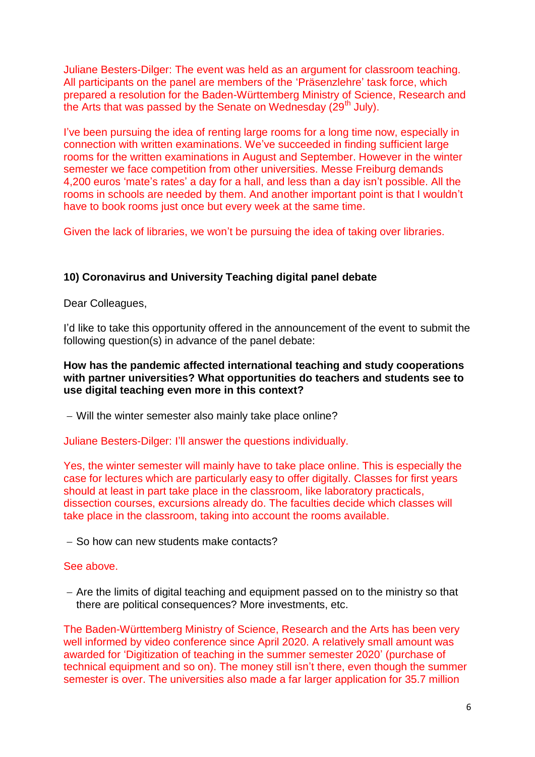Juliane Besters-Dilger: The event was held as an argument for classroom teaching. All participants on the panel are members of the 'Präsenzlehre' task force, which prepared a resolution for the Baden-Württemberg Ministry of Science, Research and the Arts that was passed by the Senate on Wednesday ( $29<sup>th</sup>$  July).

I've been pursuing the idea of renting large rooms for a long time now, especially in connection with written examinations. We've succeeded in finding sufficient large rooms for the written examinations in August and September. However in the winter semester we face competition from other universities. Messe Freiburg demands 4,200 euros 'mate's rates' a day for a hall, and less than a day isn't possible. All the rooms in schools are needed by them. And another important point is that I wouldn't have to book rooms just once but every week at the same time.

Given the lack of libraries, we won't be pursuing the idea of taking over libraries.

## **10) Coronavirus and University Teaching digital panel debate**

Dear Colleagues,

I'd like to take this opportunity offered in the announcement of the event to submit the following question(s) in advance of the panel debate:

## **How has the pandemic affected international teaching and study cooperations with partner universities? What opportunities do teachers and students see to use digital teaching even more in this context?**

Will the winter semester also mainly take place online?

Juliane Besters-Dilger: I'll answer the questions individually.

Yes, the winter semester will mainly have to take place online. This is especially the case for lectures which are particularly easy to offer digitally. Classes for first years should at least in part take place in the classroom, like laboratory practicals, dissection courses, excursions already do. The faculties decide which classes will take place in the classroom, taking into account the rooms available.

- So how can new students make contacts?

#### See above.

- Are the limits of digital teaching and equipment passed on to the ministry so that there are political consequences? More investments, etc.

The Baden-Württemberg Ministry of Science, Research and the Arts has been very well informed by video conference since April 2020. A relatively small amount was awarded for 'Digitization of teaching in the summer semester 2020' (purchase of technical equipment and so on). The money still isn't there, even though the summer semester is over. The universities also made a far larger application for 35.7 million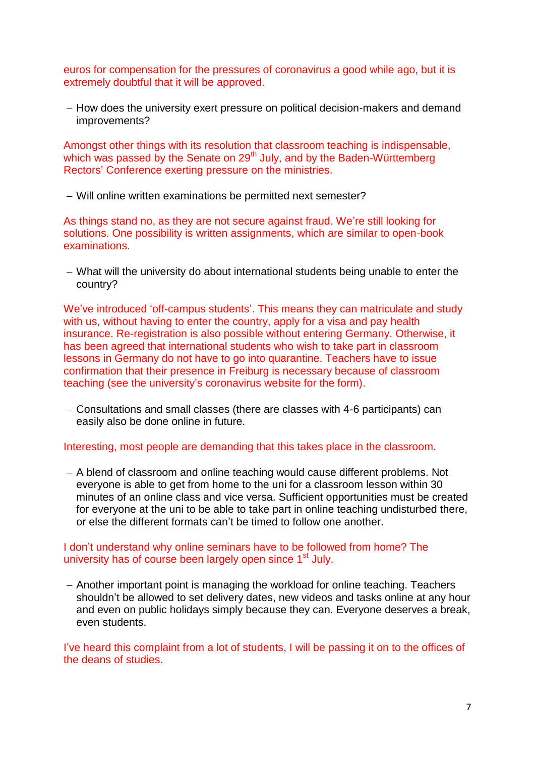euros for compensation for the pressures of coronavirus a good while ago, but it is extremely doubtful that it will be approved.

- How does the university exert pressure on political decision-makers and demand improvements?

Amongst other things with its resolution that classroom teaching is indispensable, which was passed by the Senate on 29<sup>th</sup> July, and by the Baden-Württemberg Rectors' Conference exerting pressure on the ministries.

Will online written examinations be permitted next semester?

As things stand no, as they are not secure against fraud. We're still looking for solutions. One possibility is written assignments, which are similar to open-book examinations.

 What will the university do about international students being unable to enter the country?

We've introduced 'off-campus students'. This means they can matriculate and study with us, without having to enter the country, apply for a visa and pay health insurance. Re-registration is also possible without entering Germany. Otherwise, it has been agreed that international students who wish to take part in classroom lessons in Germany do not have to go into quarantine. Teachers have to issue confirmation that their presence in Freiburg is necessary because of classroom teaching (see the university's coronavirus website for the form).

 Consultations and small classes (there are classes with 4-6 participants) can easily also be done online in future.

Interesting, most people are demanding that this takes place in the classroom.

- A blend of classroom and online teaching would cause different problems. Not everyone is able to get from home to the uni for a classroom lesson within 30 minutes of an online class and vice versa. Sufficient opportunities must be created for everyone at the uni to be able to take part in online teaching undisturbed there, or else the different formats can't be timed to follow one another.

## I don't understand why online seminars have to be followed from home? The university has of course been largely open since 1<sup>st</sup> July.

- Another important point is managing the workload for online teaching. Teachers shouldn't be allowed to set delivery dates, new videos and tasks online at any hour and even on public holidays simply because they can. Everyone deserves a break, even students.

I've heard this complaint from a lot of students, I will be passing it on to the offices of the deans of studies.